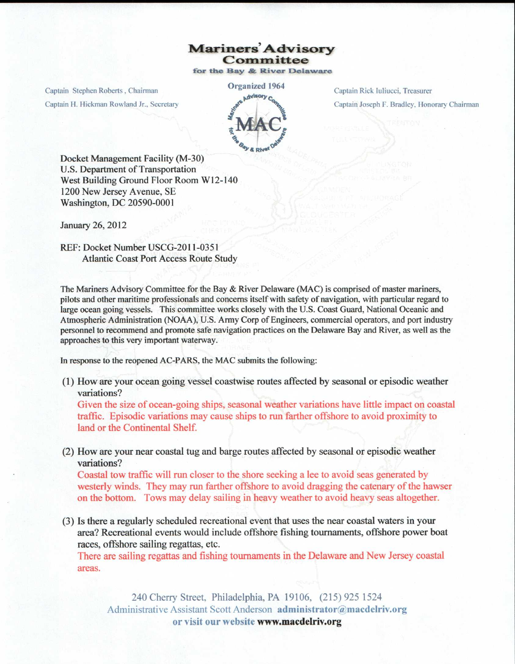## Mariners' Advisory **Committee**

for the Bay & River Delaware

Captain Stephen Roberts, Chairman **Organized 1964** Captain H. Hickman Rowland Jr.. Secretary

Captain Rick luliucci, Treasurer Captain Joseph F. Bradley. Honorary Chairman

Docket Management Facility (M-30) U.S. Department of Transportation West Building Ground Floor Room W12-140 1200 New Jersey Avenue, SE Washington, DC 20590-0001

January 26, 2012

REF: Docket Number USCG-2011-0351 Atlantic Coast Port Access Route Study

The Mariners Advisory Committee for the Bay & River Delaware (MAC) is comprised of master mariners, pilots and other maritime professionals and concerns itself with safety of navigation, with particular regard to large ocean going vessels. This committee works closely with the U.S. Coast Guard, National Oceanic and Atmospheric Administration (NOAA), U.S. Army Corp of Engineers, commercial operators, and port industry personnel to recommend and promote safe navigation practices on the Delaware Bay and River, as well as the approaches to this very important waterway.

In response to the reopened AC-PARS, the MAC submits the following:

(1) How are your ocean going vessel coastwise routes affected by seasonal or episodic weather variations?

Given the size of ocean-going ships, seasonal weather variations have little impact on coastal traffic. Episodic variations may cause ships to run farther offshore to avoid proximity to land or the Continental Shelf.

(2) How are your near coastal tug and barge routes affected by seasonal or episodic weather variations?

Coastal tow traffic will run closer to the shore seeking a lee to avoid seas generated by westerly winds. They may run farther offshore to avoid dragging the catenary of the hawser on the bottom. Tows may delay sailing in heavy weather to avoid heavy seas altogether.

(3) Is there a regularly scheduled recreational event that uses the near coastal waters in your area? Recreational events would include offshore fishing tournaments, offshore power boat races, offshore sailing regattas, etc.

There are sailing regattas and fishing tournaments in the Delaware and New Jersey coastal areas.

240 Cherry Street, Philadelphia, PA 19106, (215) 925 1524 Administrative Assistant Scott Anderson administrator@macdelriv.org **or visit our website www.macdelriv.org**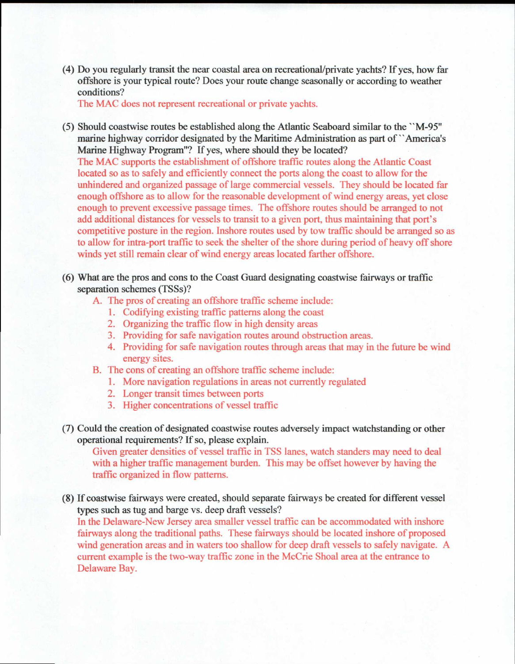(4) Do you regularly transit the near coastal area on recreational/private yachts? If yes, how far offshore is your typical route? Does your route change seasonally or according to weather conditions?

The MAC does not represent recreational or private yachts.

- (5) Should coastwise routes be established along the Atlantic Seaboard similar to the "M-95" marine highway corridor designated by the Maritime Administration as part of "America's Marine Highway Program"? If yes, where should they be located? The MAC supports the establishment of offshore traffic routes along the Atlantic Coast located so as to safely and efficiently connect the ports along the coast to allow for the unhindered and organized passage of large commercial vessels. They should be located far enough offshore as to allow for the reasonable development of wind energy areas, yet close enough to prevent excessive passage times. The offshore routes should be arranged to not add additional distances for vessels to transit to a given port, thus maintaining that port's competitive posture in the region. Inshore routes used by tow traffic should be arranged so as to allow for intra-port traffic to seek the shelter of the shore during period of heavy off shore winds yet still remain clear of wind energy areas located farther offshore.
- (6) What are the pros and cons to the Coast Guard designating coastwise fairways or traffic separation schemes (TSSs)?
	- A. The pros of creating an offshore traffic scheme include:
		- 1. Codifying existing traffic patterns along the coast
		- 2. Organizing the traffic flow in high density areas
		- 3. Providing for safe navigation routes around obstruction areas.
		- 4. Providing for safe navigation routes through areas that may in the future be wind energy sites.
	- B. The cons of creating an offshore traffic scheme include:
		- 1. More navigation regulations in areas not currently regulated
		- 2. Longer transit times between ports
		- 3. Higher concentrations of vessel traffic
- (7) Could the creation of designated coastwise routes adversely impact watchstanding or other operational requirements? If so, please explain.

Given greater densities of vessel traffic in TSS lanes, watch standers may need to deal with a higher traffic management burden. This may be offset however by having the traffic organized in flow patterns.

(8) If coastwise fairways were created, should separate fairways be created for different vessel types such as tug and barge vs. deep draft vessels?

In the Delaware-New Jersey area smaller vessel traffic can be accommodated with inshore fairways along the traditional paths. These fairways should be located inshore of proposed wind generation areas and in waters too shallow for deep draft vessels to safely navigate. A current example is the two-way traffic zone in the McCrie Shoal area at the entrance to Delaware Bay.